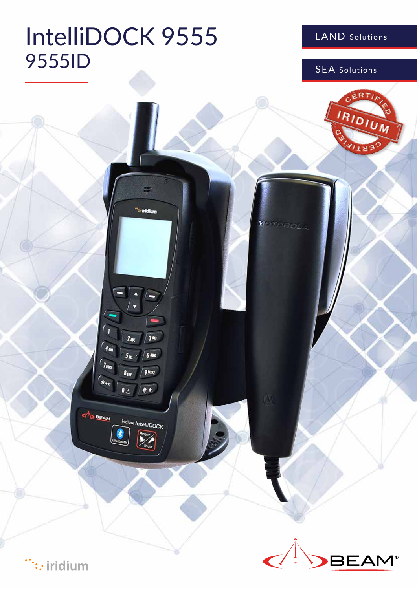# IntelliDOCK 9555 9555ID

LAND Solutions

SEA Solutions



 $\dddot{\cdots}$ : iridium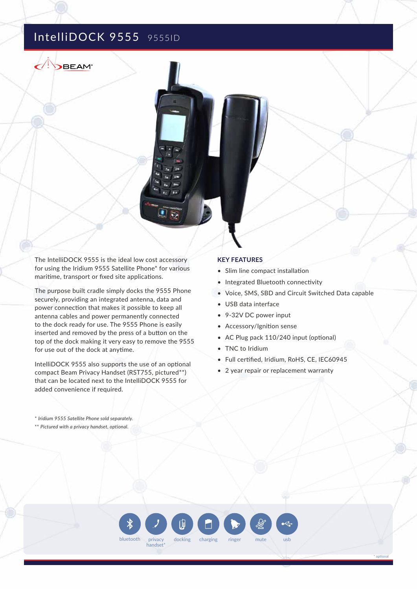## IntelliDOCK 9555 9555ID

**BEAM**\*

The IntelliDOCK 9555 is the ideal low cost accessory for using the Iridium 9555 Satellite Phone\* for various maritime, transport or fixed site applications.

The purpose built cradle simply docks the 9555 Phone securely, providing an integrated antenna, data and power connection that makes it possible to keep all antenna cables and power permanently connected to the dock ready for use. The 9555 Phone is easily inserted and removed by the press of a button on the top of the dock making it very easy to remove the 9555 for use out of the dock at anytime.

IntelliDOCK 9555 also supports the use of an optional compact Beam Privacy Handset (RST755, pictured\*\*) that can be located next to the IntelliDOCK 9555 for added convenience if required.

#### **KEY FEATURES**

- Slim line compact installation
- Integrated Bluetooth connectivity
- Voice, SMS, SBD and Circuit Switched Data capable

\* optional

- USB data interface
- 9-32V DC power input
- Accessory/Ignition sense
- AC Plug pack 110/240 input (optional)
- TNC to Iridium
- Full certified, Iridium, RoHS, CE, IEC60945
- 2 year repair or replacement warranty

\* *Iridium 9555 Satellite Phone sold separately.*

\*\* *Pictured with a privacy handset, optional.*

bluetooth privacy docking charging ringer mute usb handset\* ringer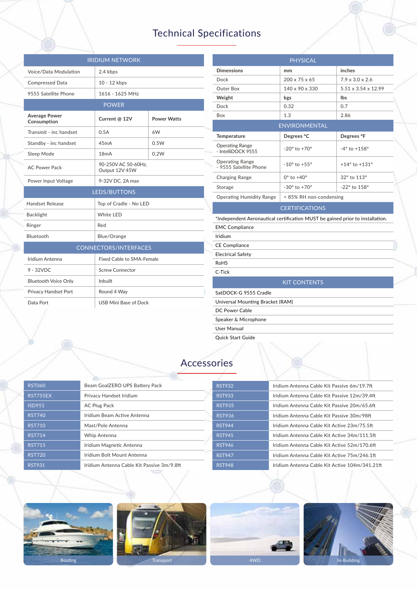## Technical Specifications

| <b>IRIDIUM NETWORK</b>              |                                       |                    |  |  |
|-------------------------------------|---------------------------------------|--------------------|--|--|
| Voice/Data Modulation               | 2.4 kbps                              |                    |  |  |
| <b>Compressed Data</b>              | 10 - 12 kbps                          |                    |  |  |
| 9555 Satellite Phone                | 1616 - 1625 MHz                       |                    |  |  |
| <b>POWER</b>                        |                                       |                    |  |  |
| <b>Average Power</b><br>Consumption | Current @ 12V                         | <b>Power Watts</b> |  |  |
| Transmit - inc handset              | 0.5A                                  | 6W                 |  |  |
| Standby - inc handset               | 45mA                                  | 0.5W               |  |  |
| Sleep Mode                          | 18mA                                  | 0.2W               |  |  |
| <b>AC Power Pack</b>                | 90-250V AC 50-60Hz,<br>Output 12V 45W |                    |  |  |
| Power Input Voltage                 | 9-32V DC, 2A max                      |                    |  |  |
|                                     | <b>LEDS/BUTTONS</b>                   |                    |  |  |
| Handset Release                     | Top of Cradle - No LED                |                    |  |  |
| <b>Backlight</b>                    | White LED                             |                    |  |  |
| Ringer                              | Red                                   |                    |  |  |
| Bluetooth                           | Blue/Orange                           |                    |  |  |
|                                     | <b>CONNECTORS/INTERFACES</b>          |                    |  |  |
| Iridium Antenna                     | Fixed Cable to SMA-Female             |                    |  |  |
| $9 - 32VDC$                         | <b>Screw Connector</b>                |                    |  |  |
| <b>Bluetooth Voice Only</b>         | Inbuilt                               |                    |  |  |
| Privacy Handset Port                | Round 4 Way                           |                    |  |  |
| Data Port                           | USB Mini Base of Dock                 |                    |  |  |

| <b>PHYSICAL</b>                                                               |                                |                                 |  |  |
|-------------------------------------------------------------------------------|--------------------------------|---------------------------------|--|--|
| <b>Dimensions</b>                                                             | mm                             | inches                          |  |  |
| Dock                                                                          | 200 x 75 x 65                  | $7.9 \times 3.0 \times 2.6$     |  |  |
| Outer Box                                                                     | 140 x 90 x 330                 | $5.51 \times 3.54 \times 12.99$ |  |  |
| Weight                                                                        | kgs                            | lbs                             |  |  |
| Dock                                                                          | 0.32                           | 0.7                             |  |  |
| Box                                                                           | 1.3                            | 2.86                            |  |  |
| <b>ENVIRONMENTAL</b>                                                          |                                |                                 |  |  |
| <b>Temperature</b>                                                            | Degrees °C                     | Degrees °F                      |  |  |
| <b>Operating Range</b><br>- IntelliDOCK 9555                                  | $-20^{\circ}$ to $+70^{\circ}$ | $-4^{\circ}$ to $+158^{\circ}$  |  |  |
| <b>Operating Range</b><br>- 9555 Satellite Phone                              | $-10^{\circ}$ to $+55^{\circ}$ | $+14^{\circ}$ to $+131^{\circ}$ |  |  |
| Charging Range                                                                | $0^\circ$ to $+40^\circ$       | 32° to 113°                     |  |  |
| Storage                                                                       | $-30^{\circ}$ to $+70^{\circ}$ | -22° to 158°                    |  |  |
| <b>Operating Humidity Range</b>                                               | < 85% RH non-condensing        |                                 |  |  |
|                                                                               | <b>CERTIFICATIONS</b>          |                                 |  |  |
| *Independent Aeronautical certification MUST be gained prior to installation. |                                |                                 |  |  |
| <b>EMC Compliance</b>                                                         |                                |                                 |  |  |
| Iridium                                                                       |                                |                                 |  |  |
| <b>CE Compliance</b>                                                          |                                |                                 |  |  |
| <b>Electrical Safety</b>                                                      |                                |                                 |  |  |
| RoHS                                                                          |                                |                                 |  |  |
| C-Tick                                                                        |                                |                                 |  |  |
|                                                                               | <b>KIT CONTENTS</b>            |                                 |  |  |
| SatDOCK-G 9555 Cradle                                                         |                                |                                 |  |  |
| Universal Mounting Bracket (RAM)                                              |                                |                                 |  |  |
| DC Power Cable                                                                |                                |                                 |  |  |
| Speaker & Microphone                                                          |                                |                                 |  |  |
| User Manual                                                                   |                                |                                 |  |  |
| <b>Ouick Start Guide</b>                                                      |                                |                                 |  |  |

## Accessories

|               | <b>Market Street</b>                       |               |                                                |
|---------------|--------------------------------------------|---------------|------------------------------------------------|
| <b>RST060</b> | Beam GoalZERO UPS Battery Pack             | <b>RST932</b> | Iridium Antenna Cable Kit Passive 6m/19.7ft    |
| RST755EX      | Privacy Handset Iridium                    | <b>RST933</b> | Iridium Antenna Cable Kit Passive 12m/39.4ft   |
| <b>ISD951</b> | <b>AC Plug Pack</b>                        | <b>RST935</b> | Iridium Antenna Cable Kit Passive 20m/65.6ft   |
| <b>RST740</b> | Iridium Beam Active Antenna                | <b>RST936</b> | Iridium Antenna Cable Kit Passive 30m/98ft     |
| <b>RST710</b> | Mast/Pole Antenna                          | <b>RST944</b> | Iridium Antenna Cable Kit Active 23m/75.5ft    |
| <b>RST714</b> | Whip Antenna                               | <b>RST945</b> | Iridium Antenna Cable Kit Active 34m/111.5ft   |
| <b>RST715</b> | Iridium Magnetic Antenna                   | <b>RST946</b> | Iridium Antenna Cable Kit Active 52m/170.6ft   |
| <b>RST720</b> | Iridium Bolt Mount Antenna                 | <b>RST947</b> | Iridium Antenna Cable Kit Active 75m/246.1ft   |
| <b>RST931</b> | Iridium Antenna Cable Kit Passive 3m/9.8ft | <b>RST948</b> | Iridium Antenna Cable Kit Active 104m/341.21ft |